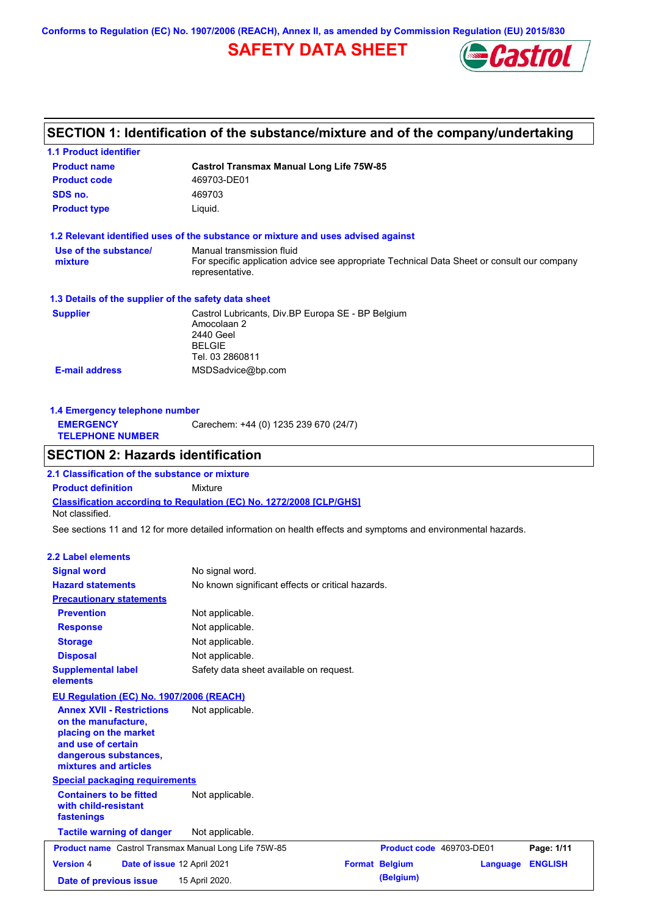**Conforms to Regulation (EC) No. 1907/2006 (REACH), Annex II, as amended by Commission Regulation (EU) 2015/830**

# **SAFETY DATA SHEET**



# **SECTION 1: Identification of the substance/mixture and of the company/undertaking**

| <b>1.1 Product identifier</b>                                                                                                                            |                                                                                                                   |                          |                 |                |
|----------------------------------------------------------------------------------------------------------------------------------------------------------|-------------------------------------------------------------------------------------------------------------------|--------------------------|-----------------|----------------|
| <b>Product name</b>                                                                                                                                      | <b>Castrol Transmax Manual Long Life 75W-85</b>                                                                   |                          |                 |                |
| <b>Product code</b>                                                                                                                                      | 469703-DE01                                                                                                       |                          |                 |                |
| SDS no.                                                                                                                                                  | 469703                                                                                                            |                          |                 |                |
| <b>Product type</b>                                                                                                                                      | Liquid.                                                                                                           |                          |                 |                |
|                                                                                                                                                          | 1.2 Relevant identified uses of the substance or mixture and uses advised against                                 |                          |                 |                |
| Use of the substance/                                                                                                                                    | Manual transmission fluid                                                                                         |                          |                 |                |
| mixture                                                                                                                                                  | For specific application advice see appropriate Technical Data Sheet or consult our company<br>representative.    |                          |                 |                |
| 1.3 Details of the supplier of the safety data sheet                                                                                                     |                                                                                                                   |                          |                 |                |
| <b>Supplier</b>                                                                                                                                          | Castrol Lubricants, Div.BP Europa SE - BP Belgium<br>Amocolaan 2<br>2440 Geel<br><b>BELGIE</b><br>Tel. 03 2860811 |                          |                 |                |
| <b>E-mail address</b>                                                                                                                                    | MSDSadvice@bp.com                                                                                                 |                          |                 |                |
| 1.4 Emergency telephone number                                                                                                                           |                                                                                                                   |                          |                 |                |
| <b>EMERGENCY</b>                                                                                                                                         | Carechem: +44 (0) 1235 239 670 (24/7)                                                                             |                          |                 |                |
| <b>TELEPHONE NUMBER</b>                                                                                                                                  |                                                                                                                   |                          |                 |                |
| <b>SECTION 2: Hazards identification</b>                                                                                                                 |                                                                                                                   |                          |                 |                |
| 2.1 Classification of the substance or mixture                                                                                                           |                                                                                                                   |                          |                 |                |
| <b>Product definition</b>                                                                                                                                | Mixture                                                                                                           |                          |                 |                |
| Not classified.                                                                                                                                          | Classification according to Regulation (EC) No. 1272/2008 [CLP/GHS]                                               |                          |                 |                |
|                                                                                                                                                          | See sections 11 and 12 for more detailed information on health effects and symptoms and environmental hazards.    |                          |                 |                |
| <b>2.2 Label elements</b>                                                                                                                                |                                                                                                                   |                          |                 |                |
| <b>Signal word</b>                                                                                                                                       | No signal word.                                                                                                   |                          |                 |                |
| <b>Hazard statements</b>                                                                                                                                 | No known significant effects or critical hazards.                                                                 |                          |                 |                |
| <b>Precautionary statements</b>                                                                                                                          |                                                                                                                   |                          |                 |                |
| <b>Prevention</b>                                                                                                                                        | Not applicable.                                                                                                   |                          |                 |                |
| <b>Response</b>                                                                                                                                          | Not applicable.                                                                                                   |                          |                 |                |
| <b>Storage</b>                                                                                                                                           | Not applicable.                                                                                                   |                          |                 |                |
| <b>Disposal</b>                                                                                                                                          | Not applicable.                                                                                                   |                          |                 |                |
| <b>Supplemental label</b><br>elements                                                                                                                    | Safety data sheet available on request.                                                                           |                          |                 |                |
| EU Regulation (EC) No. 1907/2006 (REACH)                                                                                                                 |                                                                                                                   |                          |                 |                |
| <b>Annex XVII - Restrictions</b><br>on the manufacture,<br>placing on the market<br>and use of certain<br>dangerous substances,<br>mixtures and articles | Not applicable.                                                                                                   |                          |                 |                |
| <b>Special packaging requirements</b>                                                                                                                    |                                                                                                                   |                          |                 |                |
| <b>Containers to be fitted</b><br>with child-resistant<br>fastenings                                                                                     | Not applicable.                                                                                                   |                          |                 |                |
| <b>Tactile warning of danger</b>                                                                                                                         | Not applicable.                                                                                                   |                          |                 |                |
| Product name Castrol Transmax Manual Long Life 75W-85                                                                                                    |                                                                                                                   | Product code 469703-DE01 |                 | Page: 1/11     |
| <b>Version 4</b>                                                                                                                                         | Date of issue 12 April 2021                                                                                       | <b>Format Belgium</b>    | <b>Language</b> | <b>ENGLISH</b> |
| Date of previous issue                                                                                                                                   | 15 April 2020.                                                                                                    | (Belgium)                |                 |                |
|                                                                                                                                                          |                                                                                                                   |                          |                 |                |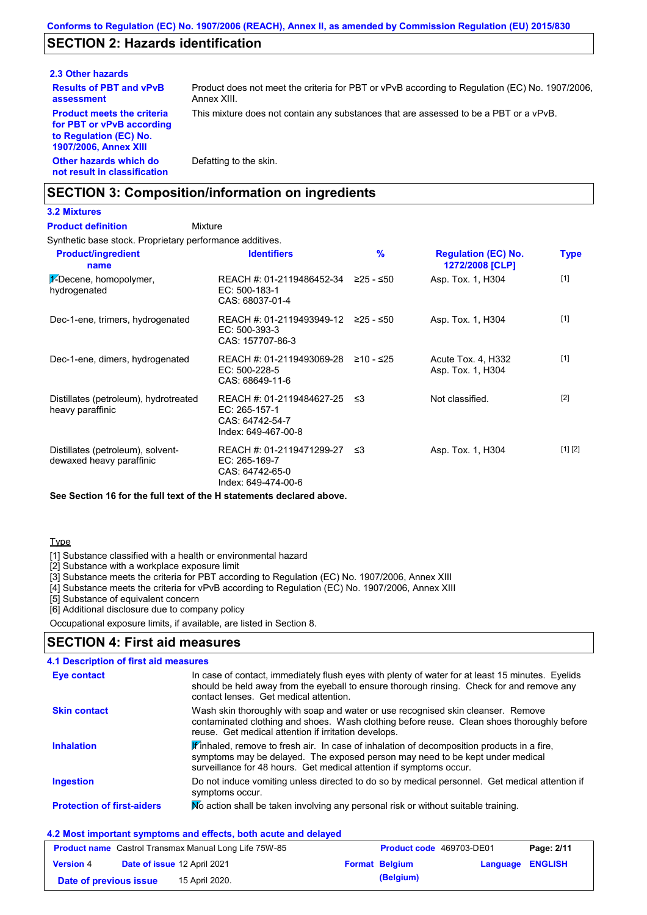## **SECTION 2: Hazards identification**

#### **2.3 Other hazards**

**Results of PBT and vPvB assessment Product meets the criteria for PBT or vPvB according to Regulation (EC) No. 1907/2006, Annex XIII**

Product does not meet the criteria for PBT or vPvB according to Regulation (EC) No. 1907/2006, Annex XIII.

This mixture does not contain any substances that are assessed to be a PBT or a vPvB.

**Other hazards which do not result in classification** Defatting to the skin.

### **SECTION 3: Composition/information on ingredients**

#### **3.2 Mixtures**

#### **Mixture Product definition**

Synthetic base stock. Proprietary performance additives.

| <b>Product/ingredient</b><br>name                             | <b>Identifiers</b>                                                                     | %           | <b>Regulation (EC) No.</b><br>1272/2008 [CLP] | Type    |
|---------------------------------------------------------------|----------------------------------------------------------------------------------------|-------------|-----------------------------------------------|---------|
| 1-Decene, homopolymer,<br>hydrogenated                        | REACH #: 01-2119486452-34<br>EC: 500-183-1<br>CAS: 68037-01-4                          | ≥25 - ≤50   | Asp. Tox. 1, H304                             | $[1]$   |
| Dec-1-ene, trimers, hydrogenated                              | REACH #: 01-2119493949-12 ≥25 - ≤50<br>EC: 500-393-3<br>CAS: 157707-86-3               |             | Asp. Tox. 1, H304                             | $[1]$   |
| Dec-1-ene, dimers, hydrogenated                               | REACH #: 01-2119493069-28<br>$EC: 500-228-5$<br>CAS: 68649-11-6                        | $≥10 - ≤25$ | Acute Tox. 4, H332<br>Asp. Tox. 1, H304       | $[1]$   |
| Distillates (petroleum), hydrotreated<br>heavy paraffinic     | REACH #: 01-2119484627-25<br>$EC: 265-157-1$<br>CAS: 64742-54-7<br>Index: 649-467-00-8 | ב≥          | Not classified.                               | $[2]$   |
| Distillates (petroleum), solvent-<br>dewaxed heavy paraffinic | REACH #: 01-2119471299-27<br>EC: 265-169-7<br>CAS: 64742-65-0<br>Index: 649-474-00-6   | ב≥          | Asp. Tox. 1, H304                             | [1] [2] |

**See Section 16 for the full text of the H statements declared above.**

#### **Type**

[1] Substance classified with a health or environmental hazard

[2] Substance with a workplace exposure limit

[3] Substance meets the criteria for PBT according to Regulation (EC) No. 1907/2006, Annex XIII

[4] Substance meets the criteria for vPvB according to Regulation (EC) No. 1907/2006, Annex XIII

[5] Substance of equivalent concern

[6] Additional disclosure due to company policy

Occupational exposure limits, if available, are listed in Section 8.

#### **SECTION 4: First aid measures**

| 4.1 Description of first aid measures |                                                                                                                                                                                                                                                               |
|---------------------------------------|---------------------------------------------------------------------------------------------------------------------------------------------------------------------------------------------------------------------------------------------------------------|
| <b>Eye contact</b>                    | In case of contact, immediately flush eyes with plenty of water for at least 15 minutes. Eyelids<br>should be held away from the eyeball to ensure thorough rinsing. Check for and remove any<br>contact lenses. Get medical attention.                       |
| <b>Skin contact</b>                   | Wash skin thoroughly with soap and water or use recognised skin cleanser. Remove<br>contaminated clothing and shoes. Wash clothing before reuse. Clean shoes thoroughly before<br>reuse. Get medical attention if irritation develops.                        |
| <b>Inhalation</b>                     | $\mathbf{F}$ inhaled, remove to fresh air. In case of inhalation of decomposition products in a fire,<br>symptoms may be delayed. The exposed person may need to be kept under medical<br>surveillance for 48 hours. Get medical attention if symptoms occur. |
| <b>Ingestion</b>                      | Do not induce vomiting unless directed to do so by medical personnel. Get medical attention if<br>symptoms occur.                                                                                                                                             |
| <b>Protection of first-aiders</b>     | No action shall be taken involving any personal risk or without suitable training.                                                                                                                                                                            |

#### **4.2 Most important symptoms and effects, both acute and delayed**

| <b>Product name</b> Castrol Transmax Manual Long Life 75W-85 |  |                             | <b>Product code</b> 469703-DE01 | Page: 2/11            |                         |  |
|--------------------------------------------------------------|--|-----------------------------|---------------------------------|-----------------------|-------------------------|--|
| <b>Version 4</b>                                             |  | Date of issue 12 April 2021 |                                 | <b>Format Belgium</b> | <b>Language ENGLISH</b> |  |
| Date of previous issue                                       |  | 15 April 2020.              |                                 | (Belgium)             |                         |  |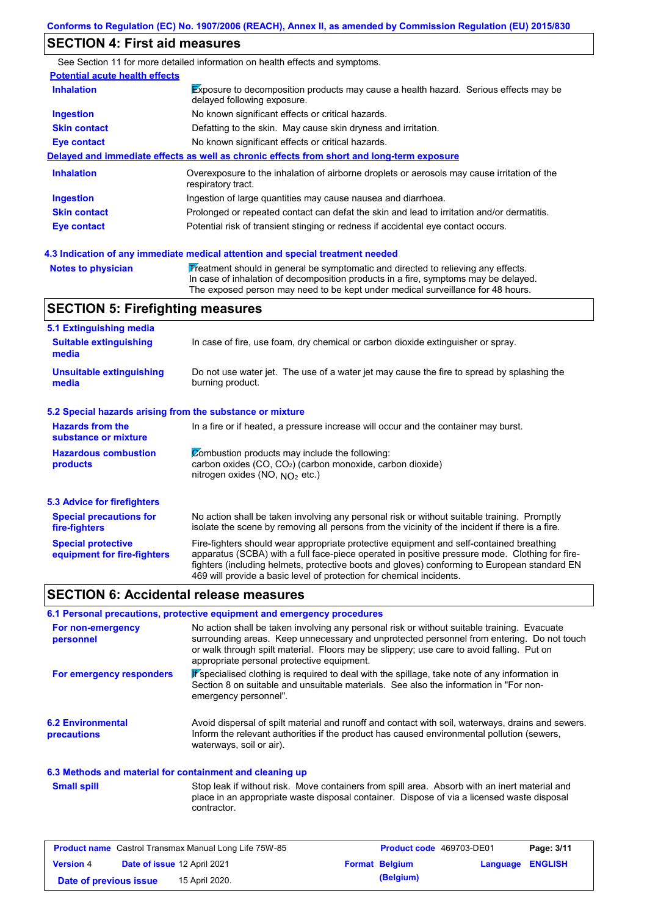## **SECTION 4: First aid measures**

|                                       | See Section 11 for more detailed information on health effects and symptoms.                                               |
|---------------------------------------|----------------------------------------------------------------------------------------------------------------------------|
| <b>Potential acute health effects</b> |                                                                                                                            |
| <b>Inhalation</b>                     | <b>Exposure to decomposition products may cause a health hazard.</b> Serious effects may be<br>delayed following exposure. |
| <b>Ingestion</b>                      | No known significant effects or critical hazards.                                                                          |
| <b>Skin contact</b>                   | Defatting to the skin. May cause skin dryness and irritation.                                                              |
| Eye contact                           | No known significant effects or critical hazards.                                                                          |
|                                       | Delayed and immediate effects as well as chronic effects from short and long-term exposure                                 |
| <b>Inhalation</b>                     | Overexposure to the inhalation of airborne droplets or aerosols may cause irritation of the<br>respiratory tract.          |
| <b>Ingestion</b>                      | Ingestion of large quantities may cause nausea and diarrhoea.                                                              |
| <b>Skin contact</b>                   | Prolonged or repeated contact can defat the skin and lead to irritation and/or dermatitis.                                 |
| Eye contact                           | Potential risk of transient stinging or redness if accidental eye contact occurs.                                          |
|                                       |                                                                                                                            |

#### **Notes to physician Treatment should in general be symptomatic and directed to relieving any effects.** In case of inhalation of decomposition products in a fire, symptoms may be delayed. The exposed person may need to be kept under medical surveillance for 48 hours. **4.3 Indication of any immediate medical attention and special treatment needed**

# **SECTION 5: Firefighting measures**

| 5.1 Extinguishing media                                   |                                                                                                                                                                                                                                                                                                                                                                   |
|-----------------------------------------------------------|-------------------------------------------------------------------------------------------------------------------------------------------------------------------------------------------------------------------------------------------------------------------------------------------------------------------------------------------------------------------|
| <b>Suitable extinguishing</b><br>media                    | In case of fire, use foam, dry chemical or carbon dioxide extinguisher or spray.                                                                                                                                                                                                                                                                                  |
| <b>Unsuitable extinguishing</b><br>media                  | Do not use water jet. The use of a water jet may cause the fire to spread by splashing the<br>burning product.                                                                                                                                                                                                                                                    |
| 5.2 Special hazards arising from the substance or mixture |                                                                                                                                                                                                                                                                                                                                                                   |
| <b>Hazards from the</b><br>substance or mixture           | In a fire or if heated, a pressure increase will occur and the container may burst.                                                                                                                                                                                                                                                                               |
| <b>Hazardous combustion</b><br>products                   | Combustion products may include the following:<br>carbon oxides $(CO, CO2)$ (carbon monoxide, carbon dioxide)<br>nitrogen oxides (NO, $NO2$ etc.)                                                                                                                                                                                                                 |
| <b>5.3 Advice for firefighters</b>                        |                                                                                                                                                                                                                                                                                                                                                                   |
| <b>Special precautions for</b><br>fire-fighters           | No action shall be taken involving any personal risk or without suitable training. Promptly<br>isolate the scene by removing all persons from the vicinity of the incident if there is a fire.                                                                                                                                                                    |
| <b>Special protective</b><br>equipment for fire-fighters  | Fire-fighters should wear appropriate protective equipment and self-contained breathing<br>apparatus (SCBA) with a full face-piece operated in positive pressure mode. Clothing for fire-<br>fighters (including helmets, protective boots and gloves) conforming to European standard EN<br>469 will provide a basic level of protection for chemical incidents. |

### **SECTION 6: Accidental release measures**

## **6.1 Personal precautions, protective equipment and emergency procedures**

| For non-emergency<br>personnel          | No action shall be taken involving any personal risk or without suitable training. Evacuate<br>surrounding areas. Keep unnecessary and unprotected personnel from entering. Do not touch<br>or walk through spilt material. Floors may be slippery; use care to avoid falling. Put on<br>appropriate personal protective equipment. |
|-----------------------------------------|-------------------------------------------------------------------------------------------------------------------------------------------------------------------------------------------------------------------------------------------------------------------------------------------------------------------------------------|
| For emergency responders                | K specialised clothing is required to deal with the spillage, take note of any information in<br>Section 8 on suitable and unsuitable materials. See also the information in "For non-<br>emergency personnel".                                                                                                                     |
| <b>6.2 Environmental</b><br>precautions | Avoid dispersal of spilt material and runoff and contact with soil, waterways, drains and sewers.<br>Inform the relevant authorities if the product has caused environmental pollution (sewers,<br>waterways, soil or air).                                                                                                         |

### **6.3 Methods and material for containment and cleaning up**

Stop leak if without risk. Move containers from spill area. Absorb with an inert material and place in an appropriate waste disposal container. Dispose of via a licensed waste disposal contractor. **Small spill**

| <b>Product name</b> Castrol Transmax Manual Long Life 75W-85 |  |                                    | <b>Product code</b> 469703-DE01 | Page: 3/11            |                  |  |
|--------------------------------------------------------------|--|------------------------------------|---------------------------------|-----------------------|------------------|--|
| <b>Version 4</b>                                             |  | <b>Date of issue 12 April 2021</b> |                                 | <b>Format Belgium</b> | Language ENGLISH |  |
| Date of previous issue                                       |  | 15 April 2020.                     |                                 | (Belgium)             |                  |  |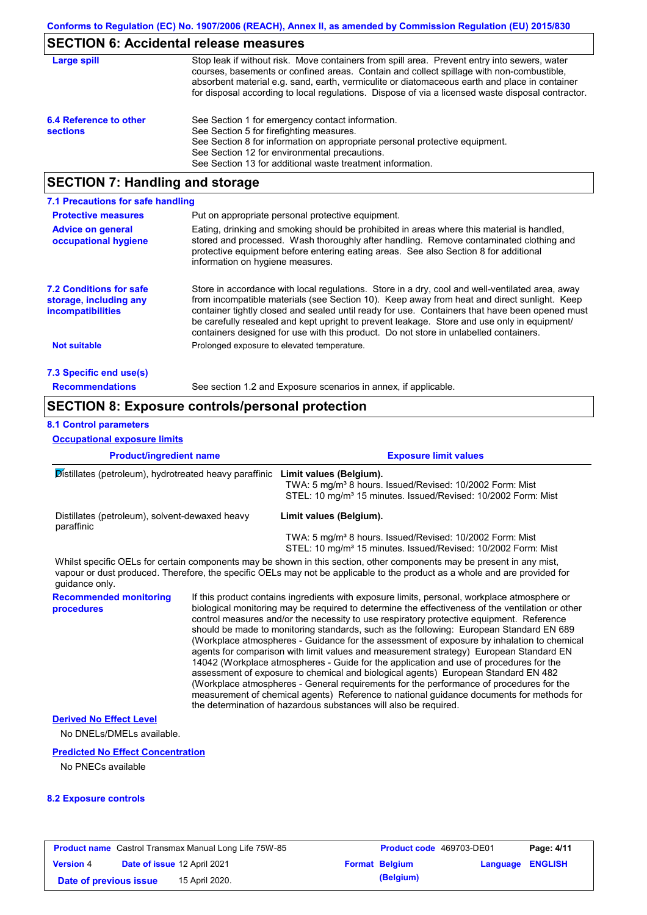# **SECTION 6: Accidental release measures**

| Large spill                               | Stop leak if without risk. Move containers from spill area. Prevent entry into sewers, water<br>courses, basements or confined areas. Contain and collect spillage with non-combustible,<br>absorbent material e.g. sand, earth, vermiculite or diatomaceous earth and place in container<br>for disposal according to local regulations. Dispose of via a licensed waste disposal contractor. |
|-------------------------------------------|------------------------------------------------------------------------------------------------------------------------------------------------------------------------------------------------------------------------------------------------------------------------------------------------------------------------------------------------------------------------------------------------|
| 6.4 Reference to other<br><b>sections</b> | See Section 1 for emergency contact information.<br>See Section 5 for firefighting measures.<br>See Section 8 for information on appropriate personal protective equipment.<br>See Section 12 for environmental precautions.<br>See Section 13 for additional waste treatment information.                                                                                                     |

# **SECTION 7: Handling and storage**

| 7.1 Precautions for safe handling                                             |                                                                                                                                                                                                                                                                                                                                                                                                                                                                                          |
|-------------------------------------------------------------------------------|------------------------------------------------------------------------------------------------------------------------------------------------------------------------------------------------------------------------------------------------------------------------------------------------------------------------------------------------------------------------------------------------------------------------------------------------------------------------------------------|
| <b>Protective measures</b>                                                    | Put on appropriate personal protective equipment.                                                                                                                                                                                                                                                                                                                                                                                                                                        |
| <b>Advice on general</b><br>occupational hygiene                              | Eating, drinking and smoking should be prohibited in areas where this material is handled.<br>stored and processed. Wash thoroughly after handling. Remove contaminated clothing and<br>protective equipment before entering eating areas. See also Section 8 for additional<br>information on hygiene measures.                                                                                                                                                                         |
| <b>7.2 Conditions for safe</b><br>storage, including any<br>incompatibilities | Store in accordance with local regulations. Store in a dry, cool and well-ventilated area, away<br>from incompatible materials (see Section 10). Keep away from heat and direct sunlight. Keep<br>container tightly closed and sealed until ready for use. Containers that have been opened must<br>be carefully resealed and kept upright to prevent leakage. Store and use only in equipment/<br>containers designed for use with this product. Do not store in unlabelled containers. |
| Not suitable                                                                  | Prolonged exposure to elevated temperature.                                                                                                                                                                                                                                                                                                                                                                                                                                              |
| 7.3 Specific end use(s)                                                       |                                                                                                                                                                                                                                                                                                                                                                                                                                                                                          |
| <b>Recommendations</b>                                                        | See section 1.2 and Exposure scenarios in annex, if applicable.                                                                                                                                                                                                                                                                                                                                                                                                                          |

# **SECTION 8: Exposure controls/personal protection**

## **8.1 Control parameters**

**Occupational exposure limits**

| <b>Product/ingredient name</b>                               |  | <b>Exposure limit values</b>                                                                                                                                                                                                                                                                                                                                                                                                                                                                                                                                                                                                                                                                                                                                                                                                                                                                                                                                                                                               |
|--------------------------------------------------------------|--|----------------------------------------------------------------------------------------------------------------------------------------------------------------------------------------------------------------------------------------------------------------------------------------------------------------------------------------------------------------------------------------------------------------------------------------------------------------------------------------------------------------------------------------------------------------------------------------------------------------------------------------------------------------------------------------------------------------------------------------------------------------------------------------------------------------------------------------------------------------------------------------------------------------------------------------------------------------------------------------------------------------------------|
| Distillates (petroleum), hydrotreated heavy paraffinic       |  | Limit values (Belgium).<br>TWA: 5 mg/m <sup>3</sup> 8 hours. Issued/Revised: 10/2002 Form: Mist<br>STEL: 10 mg/m <sup>3</sup> 15 minutes. Issued/Revised: 10/2002 Form: Mist                                                                                                                                                                                                                                                                                                                                                                                                                                                                                                                                                                                                                                                                                                                                                                                                                                               |
| Distillates (petroleum), solvent-dewaxed heavy<br>paraffinic |  | Limit values (Belgium).<br>TWA: 5 mg/m <sup>3</sup> 8 hours. Issued/Revised: 10/2002 Form: Mist<br>STEL: 10 mg/m <sup>3</sup> 15 minutes. Issued/Revised: 10/2002 Form: Mist                                                                                                                                                                                                                                                                                                                                                                                                                                                                                                                                                                                                                                                                                                                                                                                                                                               |
| guidance only.                                               |  | Whilst specific OELs for certain components may be shown in this section, other components may be present in any mist,<br>vapour or dust produced. Therefore, the specific OELs may not be applicable to the product as a whole and are provided for                                                                                                                                                                                                                                                                                                                                                                                                                                                                                                                                                                                                                                                                                                                                                                       |
| <b>Recommended monitoring</b><br>procedures                  |  | If this product contains ingredients with exposure limits, personal, workplace atmosphere or<br>biological monitoring may be required to determine the effectiveness of the ventilation or other<br>control measures and/or the necessity to use respiratory protective equipment. Reference<br>should be made to monitoring standards, such as the following: European Standard EN 689<br>(Workplace atmospheres - Guidance for the assessment of exposure by inhalation to chemical<br>agents for comparison with limit values and measurement strategy) European Standard EN<br>14042 (Workplace atmospheres - Guide for the application and use of procedures for the<br>assessment of exposure to chemical and biological agents) European Standard EN 482<br>(Workplace atmospheres - General requirements for the performance of procedures for the<br>measurement of chemical agents) Reference to national guidance documents for methods for<br>the determination of hazardous substances will also be required. |
| <b>Derived No Effect Level</b><br>No DNELs/DMELs available.  |  |                                                                                                                                                                                                                                                                                                                                                                                                                                                                                                                                                                                                                                                                                                                                                                                                                                                                                                                                                                                                                            |

### **Predicted No Effect Concentration**

No PNECs available

#### **8.2 Exposure controls**

| <b>Product name</b> Castrol Transmax Manual Long Life 75W-85 |                             |                | Product code 469703-DE01 |                       | Page: 4/11              |  |
|--------------------------------------------------------------|-----------------------------|----------------|--------------------------|-----------------------|-------------------------|--|
| <b>Version 4</b>                                             | Date of issue 12 April 2021 |                |                          | <b>Format Belgium</b> | <b>Language ENGLISH</b> |  |
| Date of previous issue                                       |                             | 15 April 2020. |                          | (Belgium)             |                         |  |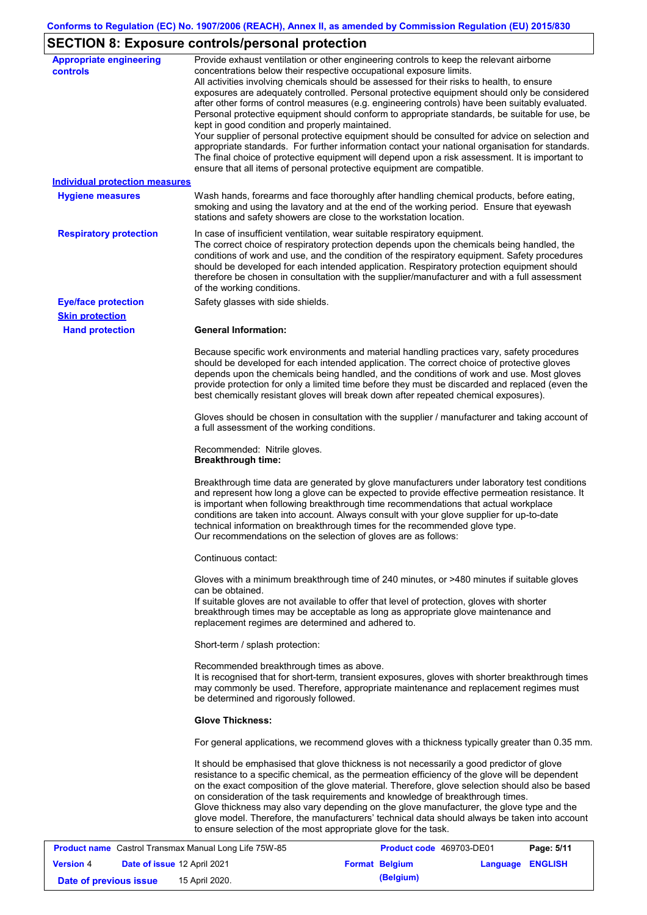# **SECTION 8: Exposure controls/personal protection**

| <b>Appropriate engineering</b>        | Provide exhaust ventilation or other engineering controls to keep the relevant airborne           |
|---------------------------------------|---------------------------------------------------------------------------------------------------|
| controls                              | concentrations below their respective occupational exposure limits.                               |
|                                       | All activities involving chemicals should be assessed for their risks to health, to ensure        |
|                                       | exposures are adequately controlled. Personal protective equipment should only be considered      |
|                                       | after other forms of control measures (e.g. engineering controls) have been suitably evaluated.   |
|                                       | Personal protective equipment should conform to appropriate standards, be suitable for use, be    |
|                                       | kept in good condition and properly maintained.                                                   |
|                                       | Your supplier of personal protective equipment should be consulted for advice on selection and    |
|                                       | appropriate standards. For further information contact your national organisation for standards.  |
|                                       | The final choice of protective equipment will depend upon a risk assessment. It is important to   |
|                                       | ensure that all items of personal protective equipment are compatible.                            |
| <b>Individual protection measures</b> |                                                                                                   |
|                                       |                                                                                                   |
| <b>Hygiene measures</b>               | Wash hands, forearms and face thoroughly after handling chemical products, before eating,         |
|                                       | smoking and using the lavatory and at the end of the working period. Ensure that eyewash          |
|                                       | stations and safety showers are close to the workstation location.                                |
| <b>Respiratory protection</b>         | In case of insufficient ventilation, wear suitable respiratory equipment.                         |
|                                       | The correct choice of respiratory protection depends upon the chemicals being handled, the        |
|                                       | conditions of work and use, and the condition of the respiratory equipment. Safety procedures     |
|                                       |                                                                                                   |
|                                       | should be developed for each intended application. Respiratory protection equipment should        |
|                                       | therefore be chosen in consultation with the supplier/manufacturer and with a full assessment     |
|                                       | of the working conditions.                                                                        |
| <b>Eye/face protection</b>            | Safety glasses with side shields.                                                                 |
| <b>Skin protection</b>                |                                                                                                   |
| <b>Hand protection</b>                | <b>General Information:</b>                                                                       |
|                                       |                                                                                                   |
|                                       | Because specific work environments and material handling practices vary, safety procedures        |
|                                       | should be developed for each intended application. The correct choice of protective gloves        |
|                                       | depends upon the chemicals being handled, and the conditions of work and use. Most gloves         |
|                                       | provide protection for only a limited time before they must be discarded and replaced (even the   |
|                                       | best chemically resistant gloves will break down after repeated chemical exposures).              |
|                                       |                                                                                                   |
|                                       | Gloves should be chosen in consultation with the supplier / manufacturer and taking account of    |
|                                       | a full assessment of the working conditions.                                                      |
|                                       |                                                                                                   |
|                                       | Recommended: Nitrile gloves.                                                                      |
|                                       | <b>Breakthrough time:</b>                                                                         |
|                                       |                                                                                                   |
|                                       | Breakthrough time data are generated by glove manufacturers under laboratory test conditions      |
|                                       | and represent how long a glove can be expected to provide effective permeation resistance. It     |
|                                       | is important when following breakthrough time recommendations that actual workplace               |
|                                       | conditions are taken into account. Always consult with your glove supplier for up-to-date         |
|                                       |                                                                                                   |
|                                       | technical information on breakthrough times for the recommended glove type.                       |
|                                       | Our recommendations on the selection of gloves are as follows:                                    |
|                                       | Continuous contact:                                                                               |
|                                       |                                                                                                   |
|                                       | Gloves with a minimum breakthrough time of 240 minutes, or >480 minutes if suitable gloves        |
|                                       | can be obtained.                                                                                  |
|                                       | If suitable gloves are not available to offer that level of protection, gloves with shorter       |
|                                       | breakthrough times may be acceptable as long as appropriate glove maintenance and                 |
|                                       | replacement regimes are determined and adhered to.                                                |
|                                       |                                                                                                   |
|                                       | Short-term / splash protection:                                                                   |
|                                       |                                                                                                   |
|                                       | Recommended breakthrough times as above.                                                          |
|                                       | It is recognised that for short-term, transient exposures, gloves with shorter breakthrough times |
|                                       | may commonly be used. Therefore, appropriate maintenance and replacement regimes must             |
|                                       | be determined and rigorously followed.                                                            |
|                                       |                                                                                                   |
|                                       | <b>Glove Thickness:</b>                                                                           |
|                                       | For general applications, we recommend gloves with a thickness typically greater than 0.35 mm.    |
|                                       | It should be emphasised that glove thickness is not necessarily a good predictor of glove         |
|                                       | resistance to a specific chemical, as the permeation efficiency of the glove will be dependent    |
|                                       |                                                                                                   |
|                                       | on the exact composition of the glove material. Therefore, glove selection should also be based   |
|                                       | on consideration of the task requirements and knowledge of breakthrough times.                    |
|                                       | Glove thickness may also vary depending on the glove manufacturer, the glove type and the         |
|                                       | glove model. Therefore, the manufacturers' technical data should always be taken into account     |
|                                       | to ensure selection of the most appropriate glove for the task.                                   |
|                                       |                                                                                                   |

|                        |                                    | <b>Product name</b> Castrol Transmax Manual Long Life 75W-85 | Product code 469703-DE01 |                  | Page: 5/11 |
|------------------------|------------------------------------|--------------------------------------------------------------|--------------------------|------------------|------------|
| <b>Version 4</b>       | <b>Date of issue 12 April 2021</b> |                                                              | <b>Format Belgium</b>    | Language ENGLISH |            |
| Date of previous issue |                                    | 15 April 2020.                                               | (Belgium)                |                  |            |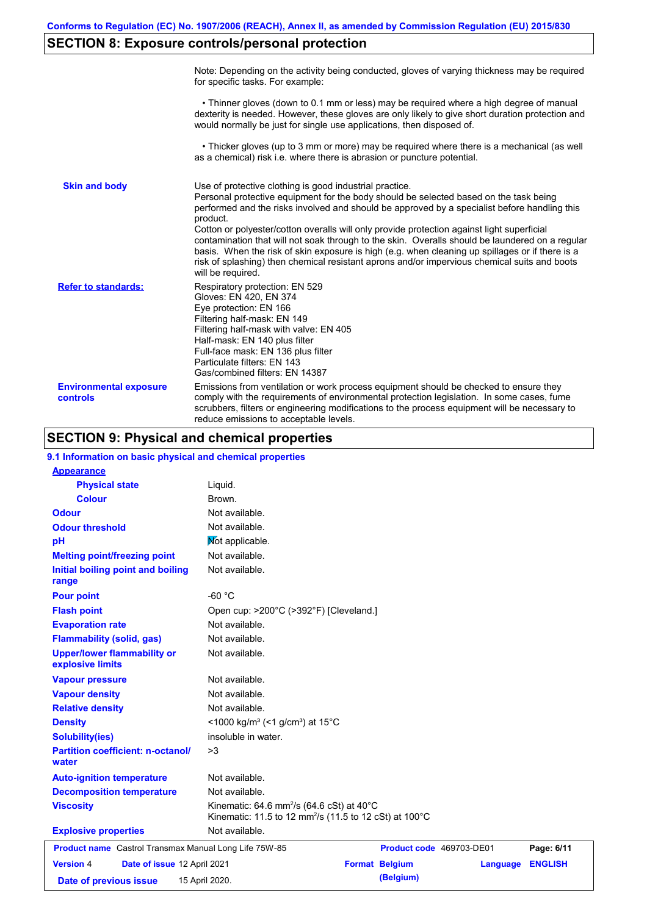# **SECTION 8: Exposure controls/personal protection**

|                                           | Note: Depending on the activity being conducted, gloves of varying thickness may be required<br>for specific tasks. For example:                                                                                                                                                                                                                                                                                                                                                                                                                                                                                                                                                      |
|-------------------------------------------|---------------------------------------------------------------------------------------------------------------------------------------------------------------------------------------------------------------------------------------------------------------------------------------------------------------------------------------------------------------------------------------------------------------------------------------------------------------------------------------------------------------------------------------------------------------------------------------------------------------------------------------------------------------------------------------|
|                                           | • Thinner gloves (down to 0.1 mm or less) may be required where a high degree of manual<br>dexterity is needed. However, these gloves are only likely to give short duration protection and<br>would normally be just for single use applications, then disposed of.                                                                                                                                                                                                                                                                                                                                                                                                                  |
|                                           | • Thicker gloves (up to 3 mm or more) may be required where there is a mechanical (as well<br>as a chemical) risk i.e. where there is abrasion or puncture potential.                                                                                                                                                                                                                                                                                                                                                                                                                                                                                                                 |
| <b>Skin and body</b>                      | Use of protective clothing is good industrial practice.<br>Personal protective equipment for the body should be selected based on the task being<br>performed and the risks involved and should be approved by a specialist before handling this<br>product.<br>Cotton or polyester/cotton overalls will only provide protection against light superficial<br>contamination that will not soak through to the skin. Overalls should be laundered on a regular<br>basis. When the risk of skin exposure is high (e.g. when cleaning up spillages or if there is a<br>risk of splashing) then chemical resistant aprons and/or impervious chemical suits and boots<br>will be required. |
| <b>Refer to standards:</b>                | Respiratory protection: EN 529<br>Gloves: EN 420, EN 374<br>Eye protection: EN 166<br>Filtering half-mask: EN 149<br>Filtering half-mask with valve: EN 405<br>Half-mask: EN 140 plus filter<br>Full-face mask: EN 136 plus filter<br>Particulate filters: EN 143<br>Gas/combined filters: EN 14387                                                                                                                                                                                                                                                                                                                                                                                   |
| <b>Environmental exposure</b><br>controls | Emissions from ventilation or work process equipment should be checked to ensure they<br>comply with the requirements of environmental protection legislation. In some cases, fume<br>scrubbers, filters or engineering modifications to the process equipment will be necessary to<br>reduce emissions to acceptable levels.                                                                                                                                                                                                                                                                                                                                                         |

# **SECTION 9: Physical and chemical properties**

| 9.1 Information on basic physical and chemical properties |                                                                                                                                        |                       |                          |                |
|-----------------------------------------------------------|----------------------------------------------------------------------------------------------------------------------------------------|-----------------------|--------------------------|----------------|
| <b>Appearance</b>                                         |                                                                                                                                        |                       |                          |                |
| <b>Physical state</b>                                     | Liquid.                                                                                                                                |                       |                          |                |
| <b>Colour</b>                                             | Brown.                                                                                                                                 |                       |                          |                |
| <b>Odour</b>                                              | Not available.                                                                                                                         |                       |                          |                |
| <b>Odour threshold</b>                                    | Not available.                                                                                                                         |                       |                          |                |
| pH                                                        | Mot applicable.                                                                                                                        |                       |                          |                |
| <b>Melting point/freezing point</b>                       | Not available.                                                                                                                         |                       |                          |                |
| Initial boiling point and boiling<br>range                | Not available.                                                                                                                         |                       |                          |                |
| <b>Pour point</b>                                         | $-60 °C$                                                                                                                               |                       |                          |                |
| <b>Flash point</b>                                        | Open cup: >200°C (>392°F) [Cleveland.]                                                                                                 |                       |                          |                |
| <b>Evaporation rate</b>                                   | Not available.                                                                                                                         |                       |                          |                |
| <b>Flammability (solid, gas)</b>                          | Not available.                                                                                                                         |                       |                          |                |
| <b>Upper/lower flammability or</b><br>explosive limits    | Not available.                                                                                                                         |                       |                          |                |
| <b>Vapour pressure</b>                                    | Not available.                                                                                                                         |                       |                          |                |
| <b>Vapour density</b>                                     | Not available.                                                                                                                         |                       |                          |                |
| <b>Relative density</b>                                   | Not available.                                                                                                                         |                       |                          |                |
| <b>Density</b>                                            | <1000 kg/m <sup>3</sup> (<1 g/cm <sup>3</sup> ) at 15 <sup>°</sup> C                                                                   |                       |                          |                |
| <b>Solubility(ies)</b>                                    | insoluble in water.                                                                                                                    |                       |                          |                |
| <b>Partition coefficient: n-octanol/</b><br>water         | >3                                                                                                                                     |                       |                          |                |
| <b>Auto-ignition temperature</b>                          | Not available.                                                                                                                         |                       |                          |                |
| <b>Decomposition temperature</b>                          | Not available.                                                                                                                         |                       |                          |                |
| <b>Viscosity</b>                                          | Kinematic: 64.6 mm <sup>2</sup> /s (64.6 cSt) at 40 $^{\circ}$ C<br>Kinematic: 11.5 to 12 mm <sup>2</sup> /s (11.5 to 12 cSt) at 100°C |                       |                          |                |
| <b>Explosive properties</b>                               | Not available.                                                                                                                         |                       |                          |                |
| Product name Castrol Transmax Manual Long Life 75W-85     |                                                                                                                                        |                       | Product code 469703-DE01 | Page: 6/11     |
| <b>Version 4</b><br>Date of issue 12 April 2021           |                                                                                                                                        | <b>Format Belgium</b> | Language                 | <b>ENGLISH</b> |
| Date of previous issue                                    | 15 April 2020.                                                                                                                         | (Belgium)             |                          |                |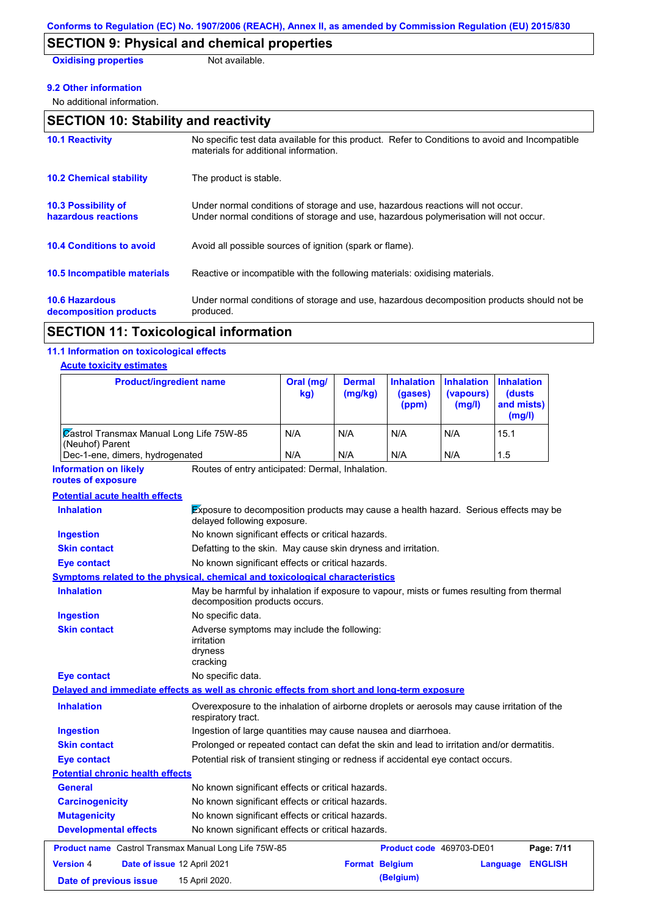# **SECTION 9: Physical and chemical properties**

**Oxidising properties** Not available.

#### **9.2 Other information**

No additional information.

| <b>SECTION 10: Stability and reactivity</b>       |                                                                                                                                                                         |  |  |  |
|---------------------------------------------------|-------------------------------------------------------------------------------------------------------------------------------------------------------------------------|--|--|--|
| <b>10.1 Reactivity</b>                            | No specific test data available for this product. Refer to Conditions to avoid and Incompatible<br>materials for additional information.                                |  |  |  |
| <b>10.2 Chemical stability</b>                    | The product is stable.                                                                                                                                                  |  |  |  |
| <b>10.3 Possibility of</b><br>hazardous reactions | Under normal conditions of storage and use, hazardous reactions will not occur.<br>Under normal conditions of storage and use, hazardous polymerisation will not occur. |  |  |  |
| <b>10.4 Conditions to avoid</b>                   | Avoid all possible sources of ignition (spark or flame).                                                                                                                |  |  |  |
| 10.5 Incompatible materials                       | Reactive or incompatible with the following materials: oxidising materials.                                                                                             |  |  |  |
| <b>10.6 Hazardous</b><br>decomposition products   | Under normal conditions of storage and use, hazardous decomposition products should not be<br>produced.                                                                 |  |  |  |

# **SECTION 11: Toxicological information**

### **11.1 Information on toxicological effects**

### **Acute toxicity estimates**

| <b>Product/ingredient name</b>                                                             |                                                                                                                             | Oral (mg/<br>kg) | <b>Dermal</b><br>(mg/kg) | <b>Inhalation</b><br>(gases)<br>(ppm) | <b>Inhalation</b><br>(vapours)<br>(mg/l) | <b>Inhalation</b><br><b>(dusts</b><br>and mists)<br>(mg/l) |
|--------------------------------------------------------------------------------------------|-----------------------------------------------------------------------------------------------------------------------------|------------------|--------------------------|---------------------------------------|------------------------------------------|------------------------------------------------------------|
| Castrol Transmax Manual Long Life 75W-85<br>(Neuhof) Parent                                |                                                                                                                             | N/A              | N/A                      | N/A                                   | N/A                                      | 15.1                                                       |
| Dec-1-ene, dimers, hydrogenated                                                            |                                                                                                                             | N/A              | N/A                      | N/A                                   | N/A                                      | 1.5                                                        |
| <b>Information on likely</b><br>routes of exposure                                         | Routes of entry anticipated: Dermal, Inhalation.                                                                            |                  |                          |                                       |                                          |                                                            |
| <b>Potential acute health effects</b>                                                      |                                                                                                                             |                  |                          |                                       |                                          |                                                            |
| <b>Inhalation</b>                                                                          | Exposure to decomposition products may cause a health hazard. Serious effects may be<br>delayed following exposure.         |                  |                          |                                       |                                          |                                                            |
| <b>Ingestion</b>                                                                           | No known significant effects or critical hazards.                                                                           |                  |                          |                                       |                                          |                                                            |
| <b>Skin contact</b>                                                                        | Defatting to the skin. May cause skin dryness and irritation.                                                               |                  |                          |                                       |                                          |                                                            |
| Eye contact                                                                                | No known significant effects or critical hazards.                                                                           |                  |                          |                                       |                                          |                                                            |
| Symptoms related to the physical, chemical and toxicological characteristics               |                                                                                                                             |                  |                          |                                       |                                          |                                                            |
| <b>Inhalation</b>                                                                          | May be harmful by inhalation if exposure to vapour, mists or fumes resulting from thermal<br>decomposition products occurs. |                  |                          |                                       |                                          |                                                            |
| <b>Ingestion</b>                                                                           | No specific data.                                                                                                           |                  |                          |                                       |                                          |                                                            |
| <b>Skin contact</b>                                                                        | Adverse symptoms may include the following:<br>irritation<br>dryness<br>cracking                                            |                  |                          |                                       |                                          |                                                            |
| <b>Eye contact</b>                                                                         | No specific data.                                                                                                           |                  |                          |                                       |                                          |                                                            |
| Delayed and immediate effects as well as chronic effects from short and long-term exposure |                                                                                                                             |                  |                          |                                       |                                          |                                                            |
| <b>Inhalation</b>                                                                          | Overexposure to the inhalation of airborne droplets or aerosols may cause irritation of the<br>respiratory tract.           |                  |                          |                                       |                                          |                                                            |
| <b>Ingestion</b>                                                                           | Ingestion of large quantities may cause nausea and diarrhoea.                                                               |                  |                          |                                       |                                          |                                                            |
| <b>Skin contact</b>                                                                        | Prolonged or repeated contact can defat the skin and lead to irritation and/or dermatitis.                                  |                  |                          |                                       |                                          |                                                            |
| Eye contact                                                                                | Potential risk of transient stinging or redness if accidental eye contact occurs.                                           |                  |                          |                                       |                                          |                                                            |
| <b>Potential chronic health effects</b>                                                    |                                                                                                                             |                  |                          |                                       |                                          |                                                            |
| General                                                                                    | No known significant effects or critical hazards.                                                                           |                  |                          |                                       |                                          |                                                            |
| <b>Carcinogenicity</b>                                                                     | No known significant effects or critical hazards.                                                                           |                  |                          |                                       |                                          |                                                            |
| <b>Mutagenicity</b>                                                                        | No known significant effects or critical hazards.                                                                           |                  |                          |                                       |                                          |                                                            |
| <b>Developmental effects</b>                                                               | No known significant effects or critical hazards.                                                                           |                  |                          |                                       |                                          |                                                            |
| <b>Product name</b> Castrol Transmax Manual Long Life 75W-85                               |                                                                                                                             |                  |                          | Product code 469703-DE01              |                                          | Page: 7/11                                                 |
| <b>Version 4</b><br>Date of issue 12 April 2021                                            |                                                                                                                             |                  | <b>Format Belgium</b>    |                                       |                                          | <b>ENGLISH</b><br>Language                                 |
| Date of previous issue                                                                     | 15 April 2020.                                                                                                              |                  |                          | (Belgium)                             |                                          |                                                            |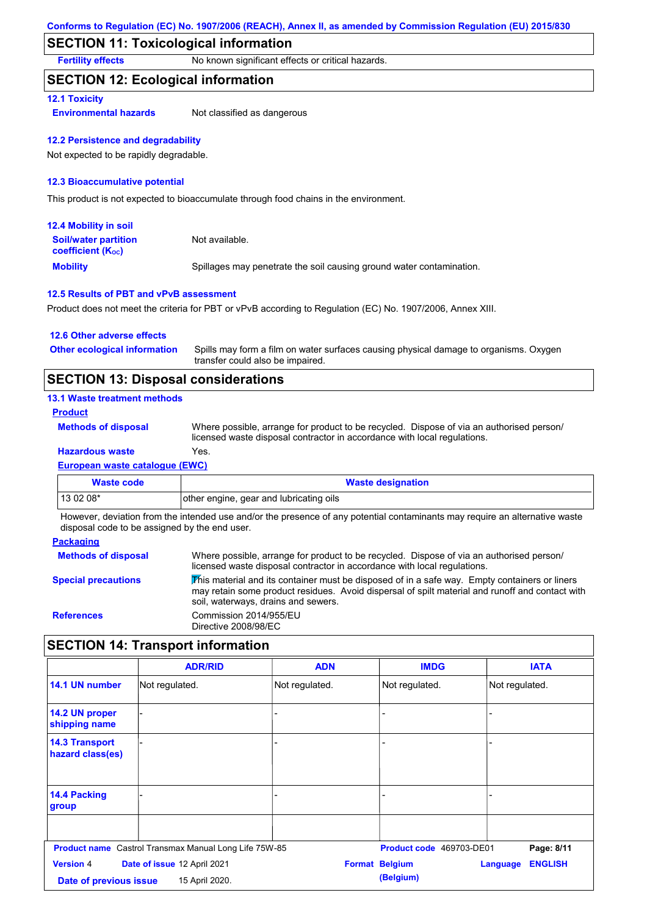## **SECTION 11: Toxicological information**

**Fertility effects** No known significant effects or critical hazards.

### **SECTION 12: Ecological information**

#### **12.1 Toxicity**

**Environmental hazards** Not classified as dangerous

#### **12.2 Persistence and degradability**

Not expected to be rapidly degradable.

#### **12.3 Bioaccumulative potential**

This product is not expected to bioaccumulate through food chains in the environment.

| <b>12.4 Mobility in soil</b>                                  |                                                                      |
|---------------------------------------------------------------|----------------------------------------------------------------------|
| <b>Soil/water partition</b><br>coefficient (K <sub>oc</sub> ) | Not available.                                                       |
| <b>Mobility</b>                                               | Spillages may penetrate the soil causing ground water contamination. |

#### **12.5 Results of PBT and vPvB assessment**

Product does not meet the criteria for PBT or vPvB according to Regulation (EC) No. 1907/2006, Annex XIII.

| 12.6 Other adverse effects          |                                                                                                                           |
|-------------------------------------|---------------------------------------------------------------------------------------------------------------------------|
| <b>Other ecological information</b> | Spills may form a film on water surfaces causing physical damage to organisms. Oxygen<br>transfer could also be impaired. |
|                                     |                                                                                                                           |

# **SECTION 13: Disposal considerations**

### **13.1 Waste treatment methods**

**Product**

**Methods of disposal**

**Hazardous waste** Yes. Where possible, arrange for product to be recycled. Dispose of via an authorised person/ licensed waste disposal contractor in accordance with local regulations.

# **European waste catalogue (EWC)**

| Waste code | <b>Waste designation</b>                |
|------------|-----------------------------------------|
| $130208*$  | other engine, gear and lubricating oils |

However, deviation from the intended use and/or the presence of any potential contaminants may require an alternative waste disposal code to be assigned by the end user.

#### **Packaging**

| <b>Methods of disposal</b> | Where possible, arrange for product to be recycled. Dispose of via an authorised person/<br>licensed waste disposal contractor in accordance with local regulations.                                                                    |
|----------------------------|-----------------------------------------------------------------------------------------------------------------------------------------------------------------------------------------------------------------------------------------|
| <b>Special precautions</b> | This material and its container must be disposed of in a safe way. Empty containers or liners<br>may retain some product residues. Avoid dispersal of spilt material and runoff and contact with<br>soil, waterways, drains and sewers. |
| <b>References</b>          | Commission 2014/955/EU<br>Directive 2008/98/EC                                                                                                                                                                                          |

## **SECTION 14: Transport information**

|                                            | <b>ADR/RID</b>                                               | <b>ADN</b>     | <b>IMDG</b>                        | <b>IATA</b>                       |
|--------------------------------------------|--------------------------------------------------------------|----------------|------------------------------------|-----------------------------------|
| 14.1 UN number                             | Not regulated.                                               | Not regulated. | Not regulated.                     | Not regulated.                    |
| 14.2 UN proper<br>shipping name            |                                                              |                |                                    |                                   |
| <b>14.3 Transport</b><br>hazard class(es)  |                                                              | ٠              |                                    |                                   |
| 14.4 Packing<br>group                      |                                                              |                |                                    |                                   |
|                                            | <b>Product name</b> Castrol Transmax Manual Long Life 75W-85 |                | Product code 469703-DE01           | Page: 8/11                        |
| <b>Version 4</b><br>Date of previous issue | Date of issue 12 April 2021<br>15 April 2020.                |                | <b>Format Belgium</b><br>(Belgium) | <b>ENGLISH</b><br><b>Language</b> |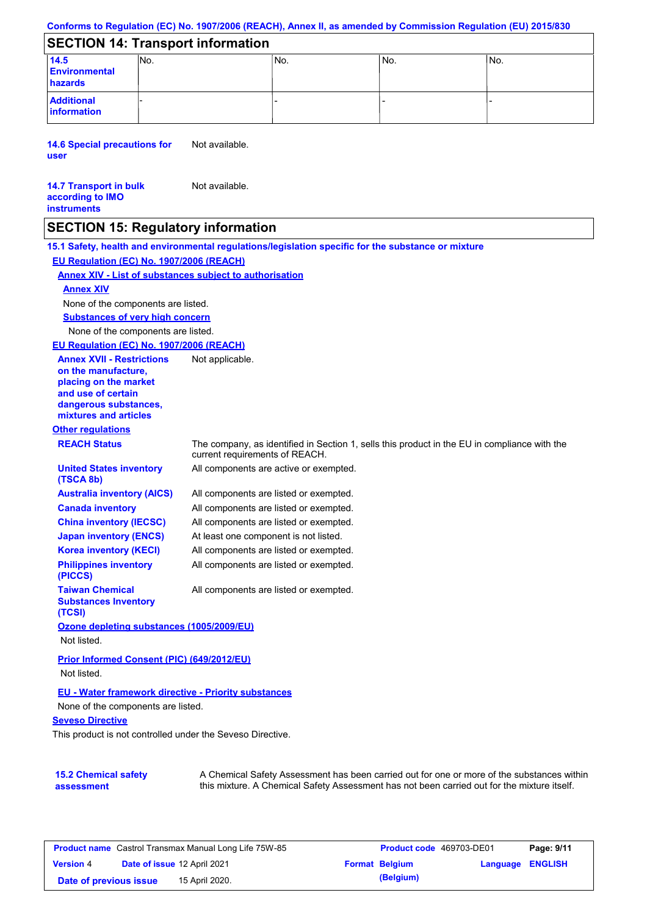#### **Conforms to Regulation (EC) No. 1907/2006 (REACH), Annex II, as amended by Commission Regulation (EU) 2015/830**

## **SECTION 14: Transport information**

| 14.5<br><b>Environmental</b><br>hazards | INo. | INo. | INo. | lNo. |
|-----------------------------------------|------|------|------|------|
| <b>Additional</b><br>information        |      |      |      |      |

**14.6 Special precautions for user** Not available.

#### **14.7 Transport in bulk according to IMO instruments** Not available.

## **SECTION 15: Regulatory information**

**Other regulations REACH Status** The company, as identified in Section 1, sells this product in the EU in compliance with the current requirements of REACH. **15.1 Safety, health and environmental regulations/legislation specific for the substance or mixture EU Regulation (EC) No. 1907/2006 (REACH) Annex XIV - List of substances subject to authorisation Substances of very high concern** None of the components are listed. All components are listed or exempted. All components are listed or exempted. All components are listed or exempted. At least one component is not listed. All components are active or exempted. All components are listed or exempted. All components are listed or exempted. **United States inventory (TSCA 8b) Australia inventory (AICS) Canada inventory China inventory (IECSC) Japan inventory (ENCS) Korea inventory (KECI) Philippines inventory (PICCS) Taiwan Chemical Substances Inventory (TCSI)** All components are listed or exempted. **Ozone depleting substances (1005/2009/EU)** Not listed. **Prior Informed Consent (PIC) (649/2012/EU)** Not listed. None of the components are listed. **Annex XIV EU - Water framework directive - Priority substances** None of the components are listed. **EU Regulation (EC) No. 1907/2006 (REACH) Annex XVII - Restrictions on the manufacture, placing on the market and use of certain dangerous substances, mixtures and articles** Not applicable.

#### **Seveso Directive**

This product is not controlled under the Seveso Directive.

| <b>15.2 Chemical safety</b> | A Chemical Safety Assessment has been carried out for one or more of the substances within  |
|-----------------------------|---------------------------------------------------------------------------------------------|
| assessment                  | this mixture. A Chemical Safety Assessment has not been carried out for the mixture itself. |

| <b>Product name</b> Castrol Transmax Manual Long Life 75W-85 |  |                             | <b>Product code</b> 469703-DE01 |                       | Page: 9/11              |  |
|--------------------------------------------------------------|--|-----------------------------|---------------------------------|-----------------------|-------------------------|--|
| <b>Version 4</b>                                             |  | Date of issue 12 April 2021 |                                 | <b>Format Belgium</b> | <b>Language ENGLISH</b> |  |
| Date of previous issue                                       |  | 15 April 2020.              |                                 | (Belgium)             |                         |  |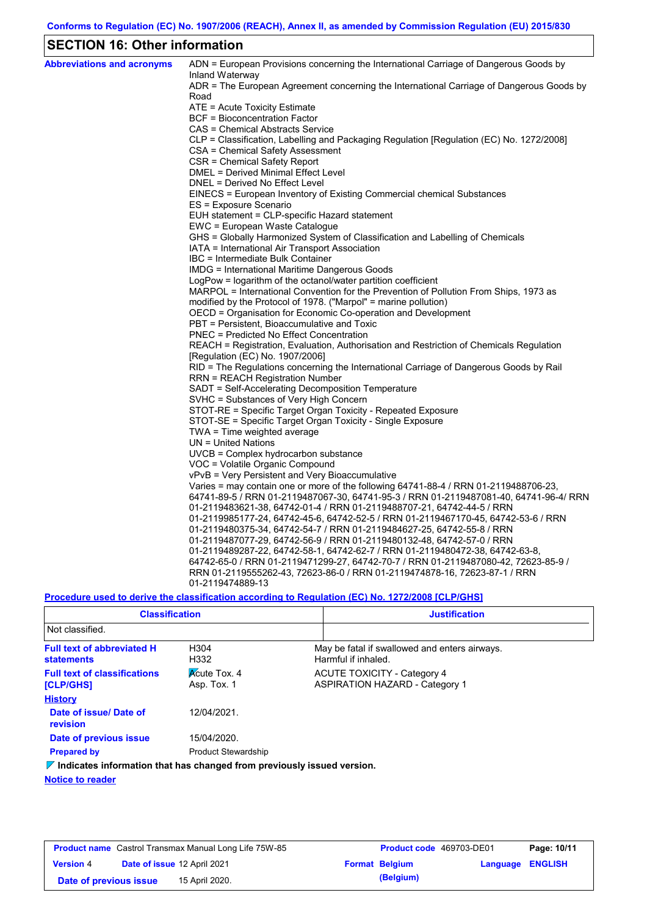# **SECTION 16: Other information**

| <b>Abbreviations and acronyms</b> | ADN = European Provisions concerning the International Carriage of Dangerous Goods by                                                                              |
|-----------------------------------|--------------------------------------------------------------------------------------------------------------------------------------------------------------------|
|                                   | Inland Waterway<br>ADR = The European Agreement concerning the International Carriage of Dangerous Goods by                                                        |
|                                   | Road                                                                                                                                                               |
|                                   | ATE = Acute Toxicity Estimate                                                                                                                                      |
|                                   | BCF = Bioconcentration Factor                                                                                                                                      |
|                                   | CAS = Chemical Abstracts Service                                                                                                                                   |
|                                   | CLP = Classification, Labelling and Packaging Regulation [Regulation (EC) No. 1272/2008]                                                                           |
|                                   | CSA = Chemical Safety Assessment                                                                                                                                   |
|                                   | CSR = Chemical Safety Report                                                                                                                                       |
|                                   | DMEL = Derived Minimal Effect Level                                                                                                                                |
|                                   | DNEL = Derived No Effect Level                                                                                                                                     |
|                                   | EINECS = European Inventory of Existing Commercial chemical Substances                                                                                             |
|                                   | ES = Exposure Scenario                                                                                                                                             |
|                                   | EUH statement = CLP-specific Hazard statement                                                                                                                      |
|                                   | EWC = European Waste Catalogue                                                                                                                                     |
|                                   | GHS = Globally Harmonized System of Classification and Labelling of Chemicals                                                                                      |
|                                   | IATA = International Air Transport Association                                                                                                                     |
|                                   | IBC = Intermediate Bulk Container                                                                                                                                  |
|                                   | IMDG = International Maritime Dangerous Goods                                                                                                                      |
|                                   | LogPow = logarithm of the octanol/water partition coefficient                                                                                                      |
|                                   | MARPOL = International Convention for the Prevention of Pollution From Ships, 1973 as                                                                              |
|                                   | modified by the Protocol of 1978. ("Marpol" = marine pollution)                                                                                                    |
|                                   | OECD = Organisation for Economic Co-operation and Development                                                                                                      |
|                                   | PBT = Persistent, Bioaccumulative and Toxic                                                                                                                        |
|                                   | <b>PNEC = Predicted No Effect Concentration</b>                                                                                                                    |
|                                   | REACH = Registration, Evaluation, Authorisation and Restriction of Chemicals Regulation                                                                            |
|                                   | [Regulation (EC) No. 1907/2006]                                                                                                                                    |
|                                   | RID = The Regulations concerning the International Carriage of Dangerous Goods by Rail                                                                             |
|                                   | RRN = REACH Registration Number                                                                                                                                    |
|                                   | SADT = Self-Accelerating Decomposition Temperature                                                                                                                 |
|                                   | SVHC = Substances of Very High Concern                                                                                                                             |
|                                   | STOT-RE = Specific Target Organ Toxicity - Repeated Exposure                                                                                                       |
|                                   | STOT-SE = Specific Target Organ Toxicity - Single Exposure                                                                                                         |
|                                   | TWA = Time weighted average                                                                                                                                        |
|                                   | $UN = United Nations$                                                                                                                                              |
|                                   | UVCB = Complex hydrocarbon substance                                                                                                                               |
|                                   | VOC = Volatile Organic Compound                                                                                                                                    |
|                                   | vPvB = Very Persistent and Very Bioaccumulative                                                                                                                    |
|                                   | Varies = may contain one or more of the following $64741-88-4$ / RRN 01-2119488706-23,                                                                             |
|                                   | 64741-89-5 / RRN 01-2119487067-30, 64741-95-3 / RRN 01-2119487081-40, 64741-96-4/ RRN                                                                              |
|                                   | 01-2119483621-38, 64742-01-4 / RRN 01-2119488707-21, 64742-44-5 / RRN                                                                                              |
|                                   | 01-2119985177-24, 64742-45-6, 64742-52-5 / RRN 01-2119467170-45, 64742-53-6 / RRN                                                                                  |
|                                   | 01-2119480375-34, 64742-54-7 / RRN 01-2119484627-25, 64742-55-8 / RRN                                                                                              |
|                                   | 01-2119487077-29, 64742-56-9 / RRN 01-2119480132-48, 64742-57-0 / RRN                                                                                              |
|                                   | 01-2119489287-22, 64742-58-1, 64742-62-7 / RRN 01-2119480472-38, 64742-63-8,<br>64742-65-0 / RRN 01-2119471299-27, 64742-70-7 / RRN 01-2119487080-42, 72623-85-9 / |
|                                   | RRN 01-2119555262-43, 72623-86-0 / RRN 01-2119474878-16, 72623-87-1 / RRN                                                                                          |
|                                   | 01-2119474889-13                                                                                                                                                   |
|                                   |                                                                                                                                                                    |

**Procedure used to derive the classification according to Regulation (EC) No. 1272/2008 [CLP/GHS]**

| <b>Classification</b>                                                                  |                                    | <b>Justification</b>                                                        |
|----------------------------------------------------------------------------------------|------------------------------------|-----------------------------------------------------------------------------|
| Not classified.                                                                        |                                    |                                                                             |
| <b>Full text of abbreviated H</b><br><b>statements</b>                                 | H304<br>H332                       | May be fatal if swallowed and enters airways.<br>Harmful if inhaled.        |
| <b>Full text of classifications</b><br>[CLP/GHS]                                       | <b>Acute Tox. 4</b><br>Asp. Tox. 1 | <b>ACUTE TOXICITY - Category 4</b><br><b>ASPIRATION HAZARD - Category 1</b> |
| <b>History</b>                                                                         |                                    |                                                                             |
| Date of issue/Date of<br>revision                                                      | 12/04/2021                         |                                                                             |
| Date of previous issue                                                                 | 15/04/2020.                        |                                                                             |
| <b>Prepared by</b>                                                                     | <b>Product Stewardship</b>         |                                                                             |
| $\triangledown$ Indicates information that has changed from previously issued version. |                                    |                                                                             |

**Notice to reader**

| <b>Product name</b> Castrol Transmax Manual Long Life 75W-85 |  |                                    | Product code 469703-DE01 |                       | Page: 10/11      |  |
|--------------------------------------------------------------|--|------------------------------------|--------------------------|-----------------------|------------------|--|
| <b>Version 4</b>                                             |  | <b>Date of issue 12 April 2021</b> |                          | <b>Format Belgium</b> | Language ENGLISH |  |
| Date of previous issue                                       |  | 15 April 2020.                     |                          | (Belgium)             |                  |  |